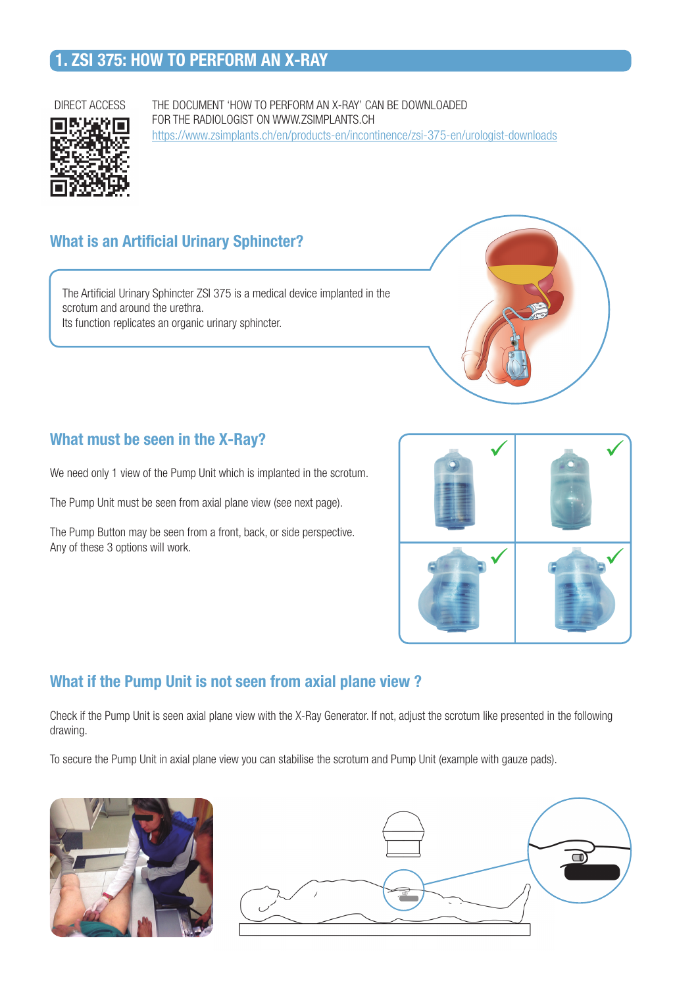## 1. ZSI 375: HOW TO PERFORM AN X-RAY



THE DOCUMENT 'HOW TO PERFORM AN X-RAY' CAN BE DOWNLOADED FOR THE RADIOLOGIST ON WWW.ZSIMPLANTS.CH https://www.zsimplants.ch/en/products-en/incontinence/zsi-375-en/urologist-downloads

## What is an Artificial Urinary Sphincter?

The Artificial Urinary Sphincter ZSI 375 is a medical device implanted in the scrotum and around the urethra. Its function replicates an organic urinary sphincter.



## What must be seen in the X-Ray?

We need only 1 view of the Pump Unit which is implanted in the scrotum.

The Pump Unit must be seen from axial plane view (see next page).

The Pump Button may be seen from a front, back, or side perspective. Any of these 3 options will work.



## What if the Pump Unit is not seen from axial plane view ?

Check if the Pump Unit is seen axial plane view with the X-Ray Generator. If not, adjust the scrotum like presented in the following drawing.

To secure the Pump Unit in axial plane view you can stabilise the scrotum and Pump Unit (example with gauze pads).